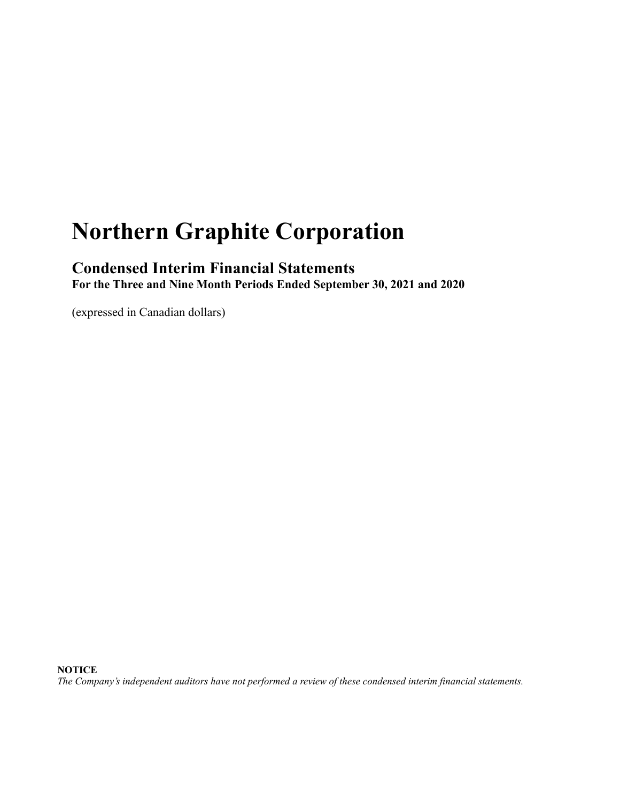# **Northern Graphite Corporation**

## **Condensed Interim Financial Statements**

**For the Three and Nine Month Periods Ended September 30, 2021 and 2020**

(expressed in Canadian dollars)

*The Company's independent auditors have not performed a review of these condensed interim financial statements.*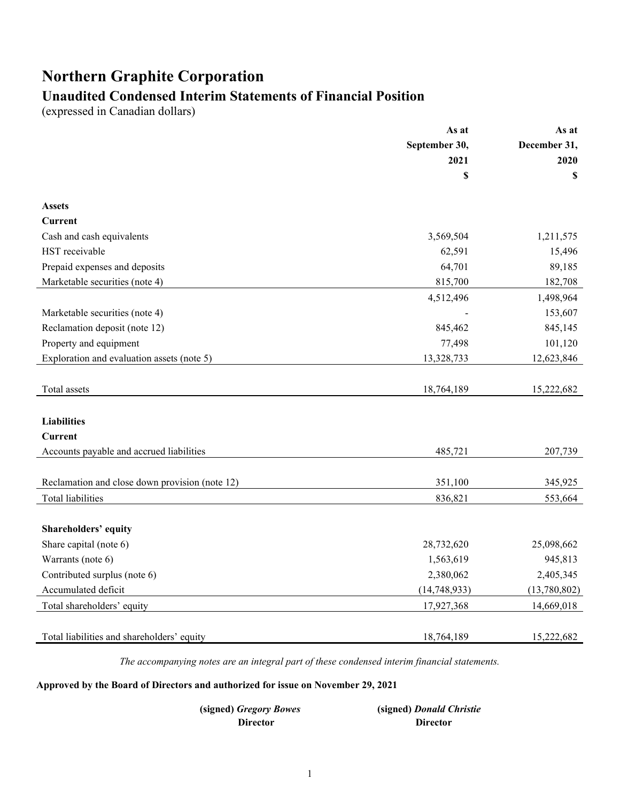# **Northern Graphite Corporation**

# **Unaudited Condensed Interim Statements of Financial Position**

(expressed in Canadian dollars)

|                                                | As at          | As at        |
|------------------------------------------------|----------------|--------------|
|                                                | September 30,  | December 31, |
|                                                | 2021           | 2020         |
|                                                | \$             | \$           |
| <b>Assets</b>                                  |                |              |
| <b>Current</b>                                 |                |              |
| Cash and cash equivalents                      | 3,569,504      | 1,211,575    |
| HST receivable                                 | 62,591         | 15,496       |
| Prepaid expenses and deposits                  | 64,701         | 89,185       |
| Marketable securities (note 4)                 | 815,700        | 182,708      |
|                                                | 4,512,496      | 1,498,964    |
| Marketable securities (note 4)                 |                | 153,607      |
| Reclamation deposit (note 12)                  | 845,462        | 845,145      |
| Property and equipment                         | 77,498         | 101,120      |
| Exploration and evaluation assets (note 5)     | 13,328,733     | 12,623,846   |
|                                                |                |              |
| Total assets                                   | 18,764,189     | 15,222,682   |
|                                                |                |              |
| <b>Liabilities</b>                             |                |              |
| Current                                        |                |              |
| Accounts payable and accrued liabilities       | 485,721        | 207,739      |
|                                                |                |              |
| Reclamation and close down provision (note 12) | 351,100        | 345,925      |
| <b>Total liabilities</b>                       | 836,821        | 553,664      |
|                                                |                |              |
| Shareholders' equity                           |                |              |
| Share capital (note 6)                         | 28,732,620     | 25,098,662   |
| Warrants (note 6)                              | 1,563,619      | 945,813      |
| Contributed surplus (note 6)                   | 2,380,062      | 2,405,345    |
| Accumulated deficit                            | (14, 748, 933) | (13,780,802) |
| Total shareholders' equity                     | 17,927,368     | 14,669,018   |
|                                                |                |              |
| Total liabilities and shareholders' equity     | 18,764,189     | 15,222,682   |

*The accompanying notes are an integral part of these condensed interim financial statements.*

**Approved by the Board of Directors and authorized for issue on November 29, 2021**

| (signed) Gregory Bowes | (signed) Donald Christie |
|------------------------|--------------------------|
| Director               | <b>Director</b>          |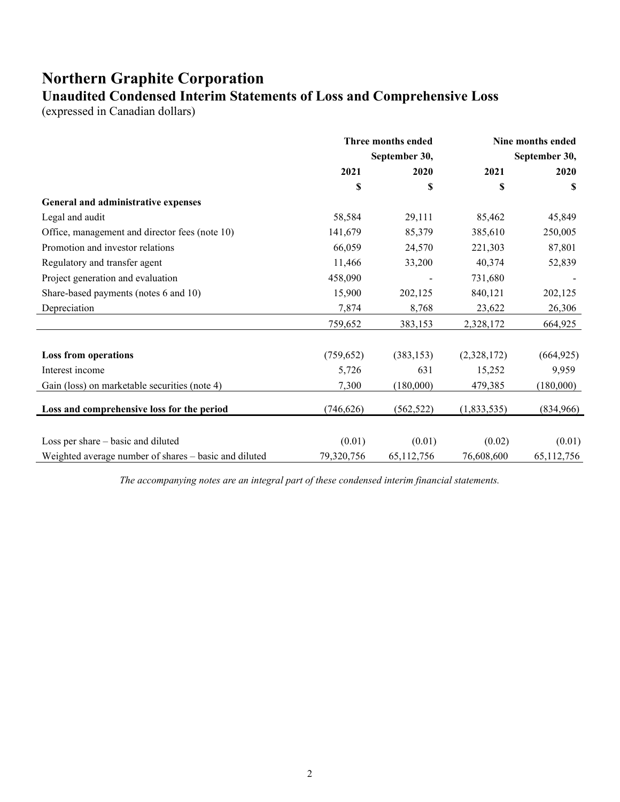## **Northern Graphite Corporation Unaudited Condensed Interim Statements of Loss and Comprehensive Loss**

(expressed in Canadian dollars)

|                                                       | Three months ended<br>September 30, |            | Nine months ended<br>September 30, |            |
|-------------------------------------------------------|-------------------------------------|------------|------------------------------------|------------|
|                                                       |                                     |            |                                    |            |
|                                                       | 2021                                | 2020       | 2021                               | 2020       |
|                                                       | \$                                  | \$         | \$                                 | S          |
| General and administrative expenses                   |                                     |            |                                    |            |
| Legal and audit                                       | 58,584                              | 29,111     | 85,462                             | 45,849     |
| Office, management and director fees (note 10)        | 141,679                             | 85,379     | 385,610                            | 250,005    |
| Promotion and investor relations                      | 66,059                              | 24,570     | 221,303                            | 87,801     |
| Regulatory and transfer agent                         | 11,466                              | 33,200     | 40,374                             | 52,839     |
| Project generation and evaluation                     | 458,090                             |            | 731,680                            |            |
| Share-based payments (notes 6 and 10)                 | 15,900                              | 202,125    | 840,121                            | 202,125    |
| Depreciation                                          | 7,874                               | 8,768      | 23,622                             | 26,306     |
|                                                       | 759,652                             | 383,153    | 2,328,172                          | 664,925    |
| <b>Loss from operations</b>                           | (759, 652)                          | (383, 153) | (2,328,172)                        | (664, 925) |
| Interest income                                       | 5,726                               | 631        | 15,252                             | 9,959      |
| Gain (loss) on marketable securities (note 4)         | 7,300                               | (180,000)  | 479,385                            | (180,000)  |
| Loss and comprehensive loss for the period            | (746, 626)                          | (562, 522) | (1,833,535)                        | (834,966)  |
|                                                       |                                     |            |                                    |            |
| Loss per share – basic and diluted                    | (0.01)                              | (0.01)     | (0.02)                             | (0.01)     |
| Weighted average number of shares - basic and diluted | 79,320,756                          | 65,112,756 | 76,608,600                         | 65,112,756 |

*The accompanying notes are an integral part of these condensed interim financial statements.*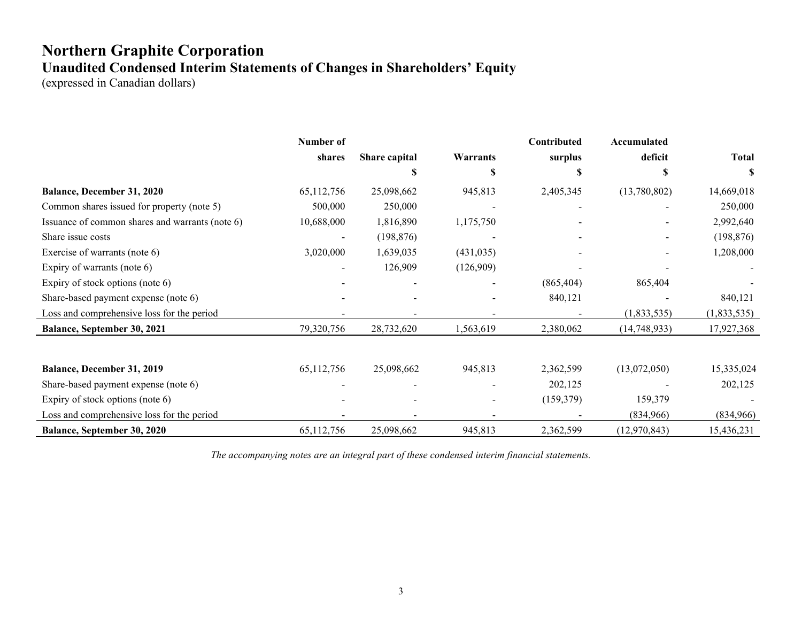# **Northern Graphite Corporation Unaudited Condensed Interim Statements of Changes in Shareholders' Equity**

(expressed in Canadian dollars)

|                                                 | Number of  |               |            | Contributed | Accumulated  |              |
|-------------------------------------------------|------------|---------------|------------|-------------|--------------|--------------|
|                                                 | shares     | Share capital | Warrants   | surplus     | deficit      | <b>Total</b> |
|                                                 |            | S             | S          |             |              | S            |
| <b>Balance, December 31, 2020</b>               | 65,112,756 | 25,098,662    | 945,813    | 2,405,345   | (13,780,802) | 14,669,018   |
| Common shares issued for property (note 5)      | 500,000    | 250,000       |            |             |              | 250,000      |
| Issuance of common shares and warrants (note 6) | 10,688,000 | 1,816,890     | 1,175,750  |             |              | 2,992,640    |
| Share issue costs                               |            | (198, 876)    |            |             |              | (198, 876)   |
| Exercise of warrants (note 6)                   | 3,020,000  | 1,639,035     | (431, 035) |             |              | 1,208,000    |
| Expiry of warrants (note 6)                     |            | 126,909       | (126,909)  |             |              |              |
| Expiry of stock options (note 6)                |            |               |            | (865, 404)  | 865,404      |              |
| Share-based payment expense (note 6)            |            |               |            | 840,121     |              | 840,121      |
| Loss and comprehensive loss for the period      |            |               |            |             | (1,833,535)  | (1,833,535)  |
| Balance, September 30, 2021                     | 79,320,756 | 28,732,620    | 1,563,619  | 2,380,062   | (14,748,933) | 17,927,368   |
|                                                 |            |               |            |             |              |              |
| Balance, December 31, 2019                      | 65,112,756 | 25,098,662    | 945,813    | 2,362,599   | (13,072,050) | 15,335,024   |
| Share-based payment expense (note 6)            |            |               |            | 202,125     |              | 202,125      |
| Expiry of stock options (note 6)                |            |               |            | (159, 379)  | 159,379      |              |
| Loss and comprehensive loss for the period      |            |               |            |             | (834,966)    | (834,966)    |
| Balance, September 30, 2020                     | 65,112,756 | 25,098,662    | 945,813    | 2,362,599   | (12,970,843) | 15,436,231   |

*The accompanying notes are an integral part of these condensed interim financial statements.*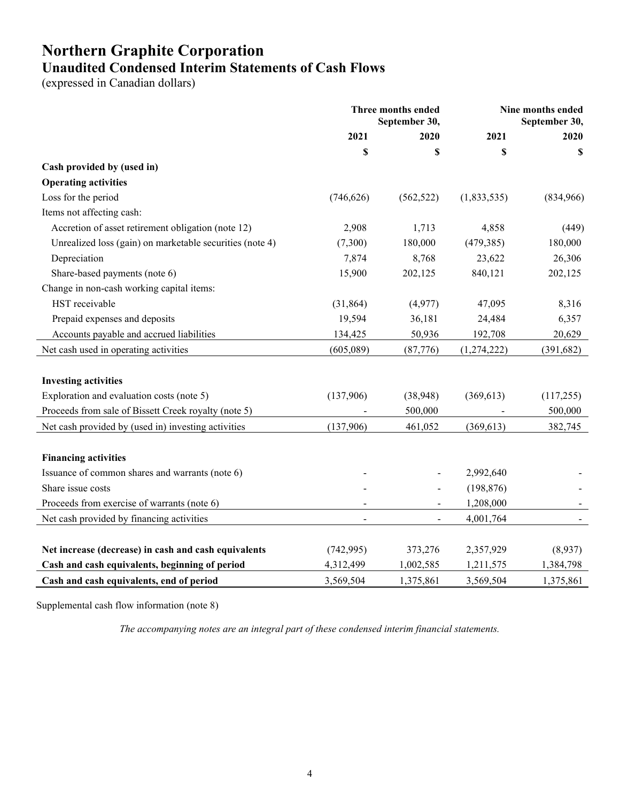# **Northern Graphite Corporation Unaudited Condensed Interim Statements of Cash Flows**

(expressed in Canadian dollars)

|                                                          | <b>Three months ended</b><br>September 30, |            |             | Nine months ended<br>September 30, |
|----------------------------------------------------------|--------------------------------------------|------------|-------------|------------------------------------|
|                                                          | 2021                                       | 2020       | 2021        | 2020                               |
|                                                          | \$                                         | \$         | \$          | S                                  |
| Cash provided by (used in)                               |                                            |            |             |                                    |
| <b>Operating activities</b>                              |                                            |            |             |                                    |
| Loss for the period                                      | (746, 626)                                 | (562, 522) | (1,833,535) | (834,966)                          |
| Items not affecting cash:                                |                                            |            |             |                                    |
| Accretion of asset retirement obligation (note 12)       | 2,908                                      | 1,713      | 4,858       | (449)                              |
| Unrealized loss (gain) on marketable securities (note 4) | (7,300)                                    | 180,000    | (479, 385)  | 180,000                            |
| Depreciation                                             | 7,874                                      | 8,768      | 23,622      | 26,306                             |
| Share-based payments (note 6)                            | 15,900                                     | 202,125    | 840,121     | 202,125                            |
| Change in non-cash working capital items:                |                                            |            |             |                                    |
| HST receivable                                           | (31, 864)                                  | (4,977)    | 47,095      | 8,316                              |
| Prepaid expenses and deposits                            | 19,594                                     | 36,181     | 24,484      | 6,357                              |
| Accounts payable and accrued liabilities                 | 134,425                                    | 50,936     | 192,708     | 20,629                             |
| Net cash used in operating activities                    | (605,089)                                  | (87,776)   | (1,274,222) | (391, 682)                         |
| <b>Investing activities</b>                              |                                            |            |             |                                    |
| Exploration and evaluation costs (note 5)                | (137,906)                                  | (38,948)   | (369, 613)  | (117,255)                          |
| Proceeds from sale of Bissett Creek royalty (note 5)     |                                            | 500,000    |             | 500,000                            |
| Net cash provided by (used in) investing activities      | (137,906)                                  | 461,052    | (369, 613)  | 382,745                            |
|                                                          |                                            |            |             |                                    |
| <b>Financing activities</b>                              |                                            |            |             |                                    |
| Issuance of common shares and warrants (note 6)          |                                            |            | 2,992,640   |                                    |
| Share issue costs                                        |                                            |            | (198, 876)  |                                    |
| Proceeds from exercise of warrants (note 6)              |                                            |            | 1,208,000   |                                    |
| Net cash provided by financing activities                | $\sim$                                     |            | 4,001,764   |                                    |
|                                                          |                                            |            |             |                                    |
| Net increase (decrease) in cash and cash equivalents     | (742, 995)                                 | 373,276    | 2,357,929   | (8,937)                            |
| Cash and cash equivalents, beginning of period           | 4,312,499                                  | 1,002,585  | 1,211,575   | 1,384,798                          |
| Cash and cash equivalents, end of period                 | 3,569,504                                  | 1,375,861  | 3,569,504   | 1,375,861                          |

Supplemental cash flow information (note 8)

*The accompanying notes are an integral part of these condensed interim financial statements.*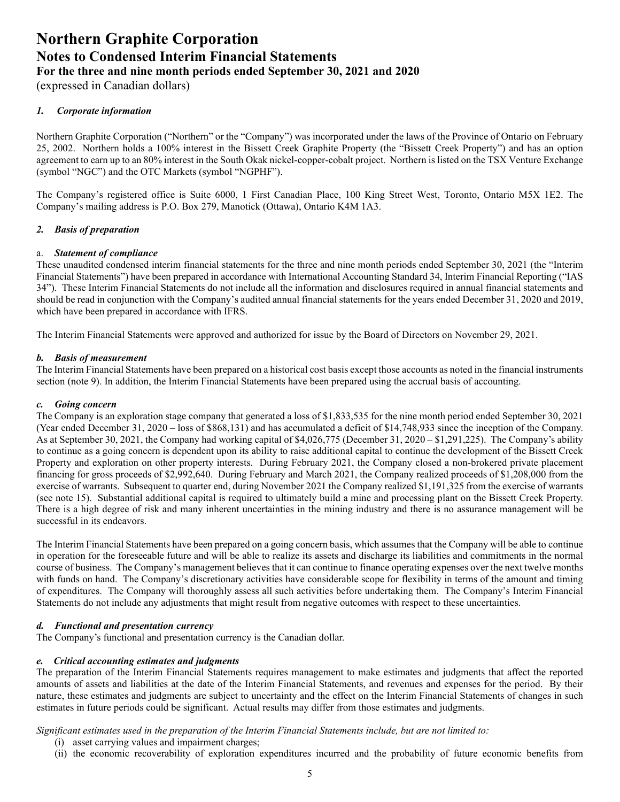(expressed in Canadian dollars)

#### *1. Corporate information*

Northern Graphite Corporation ("Northern" or the "Company") was incorporated under the laws of the Province of Ontario on February 25, 2002. Northern holds a 100% interest in the Bissett Creek Graphite Property (the "Bissett Creek Property") and has an option agreement to earn up to an 80% interest in the South Okak nickel-copper-cobalt project. Northern is listed on the TSX Venture Exchange (symbol "NGC") and the OTC Markets (symbol "NGPHF").

The Company's registered office is Suite 6000, 1 First Canadian Place, 100 King Street West, Toronto, Ontario M5X 1E2. The Company's mailing address is P.O. Box 279, Manotick (Ottawa), Ontario K4M 1A3.

#### *2. Basis of preparation*

#### a. *Statement of compliance*

These unaudited condensed interim financial statements for the three and nine month periods ended September 30, 2021 (the "Interim Financial Statements") have been prepared in accordance with International Accounting Standard 34, Interim Financial Reporting ("IAS 34"). These Interim Financial Statements do not include all the information and disclosures required in annual financial statements and should be read in conjunction with the Company's audited annual financial statements for the years ended December 31, 2020 and 2019, which have been prepared in accordance with IFRS.

The Interim Financial Statements were approved and authorized for issue by the Board of Directors on November 29, 2021.

#### *b. Basis of measurement*

The Interim Financial Statements have been prepared on a historical cost basis except those accounts as noted in the financial instruments section (note 9). In addition, the Interim Financial Statements have been prepared using the accrual basis of accounting.

#### *c. Going concern*

The Company is an exploration stage company that generated a loss of \$1,833,535 for the nine month period ended September 30, 2021 (Year ended December 31, 2020 – loss of \$868,131) and has accumulated a deficit of \$14,748,933 since the inception of the Company. As at September 30, 2021, the Company had working capital of \$4,026,775 (December 31, 2020 – \$1,291,225). The Company's ability to continue as a going concern is dependent upon its ability to raise additional capital to continue the development of the Bissett Creek Property and exploration on other property interests. During February 2021, the Company closed a non-brokered private placement financing for gross proceeds of \$2,992,640. During February and March 2021, the Company realized proceeds of \$1,208,000 from the exercise of warrants. Subsequent to quarter end, during November 2021 the Company realized \$1,191,325 from the exercise of warrants (see note 15). Substantial additional capital is required to ultimately build a mine and processing plant on the Bissett Creek Property. There is a high degree of risk and many inherent uncertainties in the mining industry and there is no assurance management will be successful in its endeavors.

The Interim Financial Statements have been prepared on a going concern basis, which assumes that the Company will be able to continue in operation for the foreseeable future and will be able to realize its assets and discharge its liabilities and commitments in the normal course of business. The Company's management believes that it can continue to finance operating expenses over the next twelve months with funds on hand. The Company's discretionary activities have considerable scope for flexibility in terms of the amount and timing of expenditures. The Company will thoroughly assess all such activities before undertaking them. The Company's Interim Financial Statements do not include any adjustments that might result from negative outcomes with respect to these uncertainties.

#### *d. Functional and presentation currency*

The Company's functional and presentation currency is the Canadian dollar.

#### *e. Critical accounting estimates and judgments*

The preparation of the Interim Financial Statements requires management to make estimates and judgments that affect the reported amounts of assets and liabilities at the date of the Interim Financial Statements, and revenues and expenses for the period. By their nature, these estimates and judgments are subject to uncertainty and the effect on the Interim Financial Statements of changes in such estimates in future periods could be significant. Actual results may differ from those estimates and judgments.

*Significant estimates used in the preparation of the Interim Financial Statements include, but are not limited to:* 

- (i) asset carrying values and impairment charges;
- (ii) the economic recoverability of exploration expenditures incurred and the probability of future economic benefits from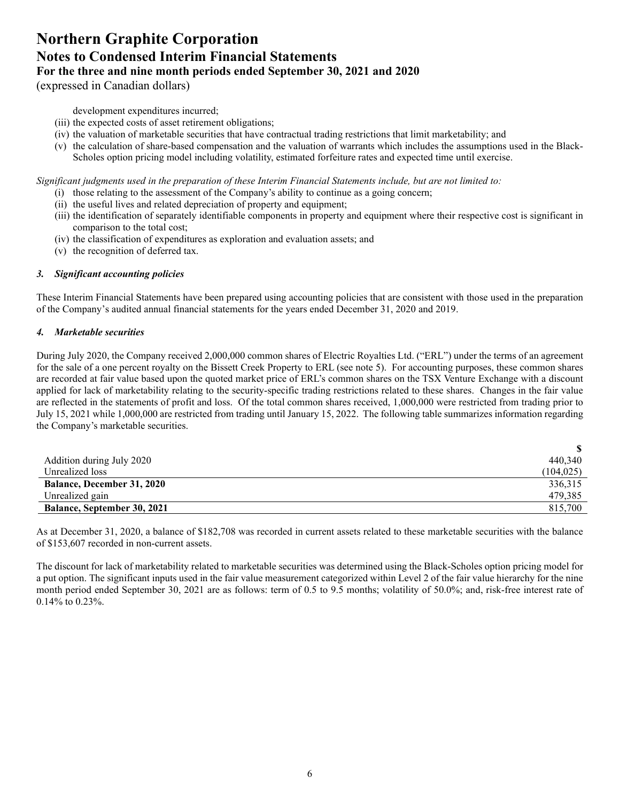(expressed in Canadian dollars)

development expenditures incurred;

- (iii) the expected costs of asset retirement obligations;
- (iv) the valuation of marketable securities that have contractual trading restrictions that limit marketability; and
- (v) the calculation of share-based compensation and the valuation of warrants which includes the assumptions used in the Black-Scholes option pricing model including volatility, estimated forfeiture rates and expected time until exercise.

*Significant judgments used in the preparation of these Interim Financial Statements include, but are not limited to:* 

- (i) those relating to the assessment of the Company's ability to continue as a going concern;
- (ii) the useful lives and related depreciation of property and equipment;
- (iii) the identification of separately identifiable components in property and equipment where their respective cost is significant in comparison to the total cost;
- (iv) the classification of expenditures as exploration and evaluation assets; and
- (v) the recognition of deferred tax.

#### *3. Significant accounting policies*

These Interim Financial Statements have been prepared using accounting policies that are consistent with those used in the preparation of the Company's audited annual financial statements for the years ended December 31, 2020 and 2019.

#### *4. Marketable securities*

During July 2020, the Company received 2,000,000 common shares of Electric Royalties Ltd. ("ERL") under the terms of an agreement for the sale of a one percent royalty on the Bissett Creek Property to ERL (see note 5). For accounting purposes, these common shares are recorded at fair value based upon the quoted market price of ERL's common shares on the TSX Venture Exchange with a discount applied for lack of marketability relating to the security-specific trading restrictions related to these shares. Changes in the fair value are reflected in the statements of profit and loss. Of the total common shares received, 1,000,000 were restricted from trading prior to July 15, 2021 while 1,000,000 are restricted from trading until January 15, 2022. The following table summarizes information regarding the Company's marketable securities.

| Addition during July 2020          | 440,340    |
|------------------------------------|------------|
| Unrealized loss                    | (104, 025) |
| <b>Balance, December 31, 2020</b>  | 336,315    |
| Unrealized gain                    | 479,385    |
| <b>Balance, September 30, 2021</b> | 815,700    |

As at December 31, 2020, a balance of \$182,708 was recorded in current assets related to these marketable securities with the balance of \$153,607 recorded in non-current assets.

The discount for lack of marketability related to marketable securities was determined using the Black-Scholes option pricing model for a put option. The significant inputs used in the fair value measurement categorized within Level 2 of the fair value hierarchy for the nine month period ended September 30, 2021 are as follows: term of 0.5 to 9.5 months; volatility of 50.0%; and, risk-free interest rate of 0.14% to 0.23%.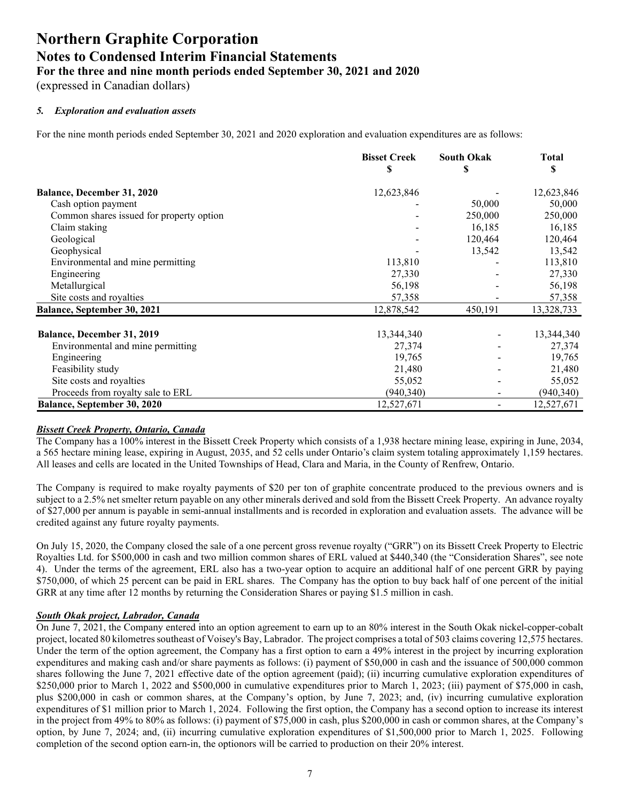(expressed in Canadian dollars)

#### *5. Exploration and evaluation assets*

For the nine month periods ended September 30, 2021 and 2020 exploration and evaluation expenditures are as follows:

|                                          | <b>Bisset Creek</b><br>S | <b>South Okak</b><br>S | <b>Total</b><br>S |
|------------------------------------------|--------------------------|------------------------|-------------------|
| Balance, December 31, 2020               | 12,623,846               |                        | 12,623,846        |
| Cash option payment                      |                          | 50,000                 | 50,000            |
| Common shares issued for property option |                          | 250,000                | 250,000           |
| Claim staking                            |                          | 16,185                 | 16,185            |
| Geological                               |                          | 120,464                | 120,464           |
| Geophysical                              |                          | 13,542                 | 13,542            |
| Environmental and mine permitting        | 113,810                  |                        | 113,810           |
| Engineering                              | 27,330                   |                        | 27,330            |
| Metallurgical                            | 56,198                   | -                      | 56,198            |
| Site costs and royalties                 | 57,358                   |                        | 57,358            |
| Balance, September 30, 2021              | 12,878,542               | 450,191                | 13,328,733        |
| Balance, December 31, 2019               | 13,344,340               |                        | 13,344,340        |
| Environmental and mine permitting        | 27,374                   |                        | 27,374            |
| Engineering                              | 19,765                   |                        | 19,765            |
| Feasibility study                        | 21,480                   |                        | 21,480            |
| Site costs and royalties                 | 55,052                   |                        | 55,052            |
| Proceeds from royalty sale to ERL        | (940, 340)               |                        | (940, 340)        |
| <b>Balance, September 30, 2020</b>       | 12,527,671               |                        | 12,527,671        |

#### *Bissett Creek Property, Ontario, Canada*

The Company has a 100% interest in the Bissett Creek Property which consists of a 1,938 hectare mining lease, expiring in June, 2034, a 565 hectare mining lease, expiring in August, 2035, and 52 cells under Ontario's claim system totaling approximately 1,159 hectares. All leases and cells are located in the United Townships of Head, Clara and Maria, in the County of Renfrew, Ontario.

The Company is required to make royalty payments of \$20 per ton of graphite concentrate produced to the previous owners and is subject to a 2.5% net smelter return payable on any other minerals derived and sold from the Bissett Creek Property. An advance royalty of \$27,000 per annum is payable in semi-annual installments and is recorded in exploration and evaluation assets. The advance will be credited against any future royalty payments.

On July 15, 2020, the Company closed the sale of a one percent gross revenue royalty ("GRR") on its Bissett Creek Property to Electric Royalties Ltd. for \$500,000 in cash and two million common shares of ERL valued at \$440,340 (the "Consideration Shares", see note 4). Under the terms of the agreement, ERL also has a two-year option to acquire an additional half of one percent GRR by paying \$750,000, of which 25 percent can be paid in ERL shares. The Company has the option to buy back half of one percent of the initial GRR at any time after 12 months by returning the Consideration Shares or paying \$1.5 million in cash.

#### *South Okak project, Labrador, Canada*

On June 7, 2021, the Company entered into an option agreement to earn up to an 80% interest in the South Okak nickel-copper-cobalt project, located 80 kilometres southeast of Voisey's Bay, Labrador. The project comprises a total of 503 claims covering 12,575 hectares. Under the term of the option agreement, the Company has a first option to earn a 49% interest in the project by incurring exploration expenditures and making cash and/or share payments as follows: (i) payment of \$50,000 in cash and the issuance of 500,000 common shares following the June 7, 2021 effective date of the option agreement (paid); (ii) incurring cumulative exploration expenditures of \$250,000 prior to March 1, 2022 and \$500,000 in cumulative expenditures prior to March 1, 2023; (iii) payment of \$75,000 in cash, plus \$200,000 in cash or common shares, at the Company's option, by June 7, 2023; and, (iv) incurring cumulative exploration expenditures of \$1 million prior to March 1, 2024. Following the first option, the Company has a second option to increase its interest in the project from 49% to 80% as follows: (i) payment of \$75,000 in cash, plus \$200,000 in cash or common shares, at the Company's option, by June 7, 2024; and, (ii) incurring cumulative exploration expenditures of \$1,500,000 prior to March 1, 2025. Following completion of the second option earn-in, the optionors will be carried to production on their 20% interest.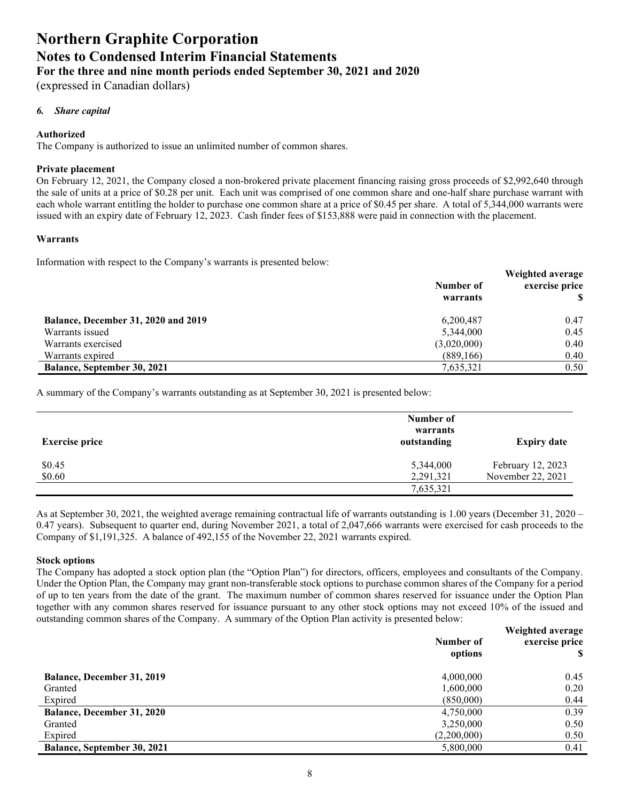(expressed in Canadian dollars)

#### *6. Share capital*

#### **Authorized**

The Company is authorized to issue an unlimited number of common shares.

#### **Private placement**

On February 12, 2021, the Company closed a non-brokered private placement financing raising gross proceeds of \$2,992,640 through the sale of units at a price of \$0.28 per unit. Each unit was comprised of one common share and one-half share purchase warrant with each whole warrant entitling the holder to purchase one common share at a price of \$0.45 per share. A total of 5,344,000 warrants were issued with an expiry date of February 12, 2023. Cash finder fees of \$153,888 were paid in connection with the placement.

#### **Warrants**

Information with respect to the Company's warrants is presented below:

|                                     | Number of<br>warrants | Weighted average<br>exercise price |
|-------------------------------------|-----------------------|------------------------------------|
| Balance, December 31, 2020 and 2019 | 6,200,487             | 0.47                               |
| Warrants issued                     | 5,344,000             | 0.45                               |
| Warrants exercised                  | (3,020,000)           | 0.40                               |
| Warrants expired                    | (889, 166)            | 0.40                               |
| <b>Balance, September 30, 2021</b>  | 7,635,321             | 0.50                               |

A summary of the Company's warrants outstanding as at September 30, 2021 is presented below:

| <b>Exercise price</b> | Number of<br>warrants<br>outstanding | <b>Expiry date</b> |
|-----------------------|--------------------------------------|--------------------|
| \$0.45                | 5,344,000                            | February 12, 2023  |
| \$0.60                | 2,291,321                            | November 22, 2021  |
|                       | 7,635,321                            |                    |

As at September 30, 2021, the weighted average remaining contractual life of warrants outstanding is 1.00 years (December 31, 2020 – 0.47 years). Subsequent to quarter end, during November 2021, a total of 2,047,666 warrants were exercised for cash proceeds to the Company of \$1,191,325. A balance of 492,155 of the November 22, 2021 warrants expired.

#### **Stock options**

The Company has adopted a stock option plan (the "Option Plan") for directors, officers, employees and consultants of the Company. Under the Option Plan, the Company may grant non-transferable stock options to purchase common shares of the Company for a period of up to ten years from the date of the grant. The maximum number of common shares reserved for issuance under the Option Plan together with any common shares reserved for issuance pursuant to any other stock options may not exceed 10% of the issued and outstanding common shares of the Company. A summary of the Option Plan activity is presented below:

|                                    | Number of<br>options | Weighted average<br>exercise price |
|------------------------------------|----------------------|------------------------------------|
| <b>Balance, December 31, 2019</b>  | 4,000,000            | 0.45                               |
| Granted                            | 1,600,000            | 0.20                               |
| Expired                            | (850,000)            | 0.44                               |
| <b>Balance, December 31, 2020</b>  | 4,750,000            | 0.39                               |
| Granted                            | 3,250,000            | 0.50                               |
| Expired                            | (2,200,000)          | 0.50                               |
| <b>Balance, September 30, 2021</b> | 5,800,000            | 0.41                               |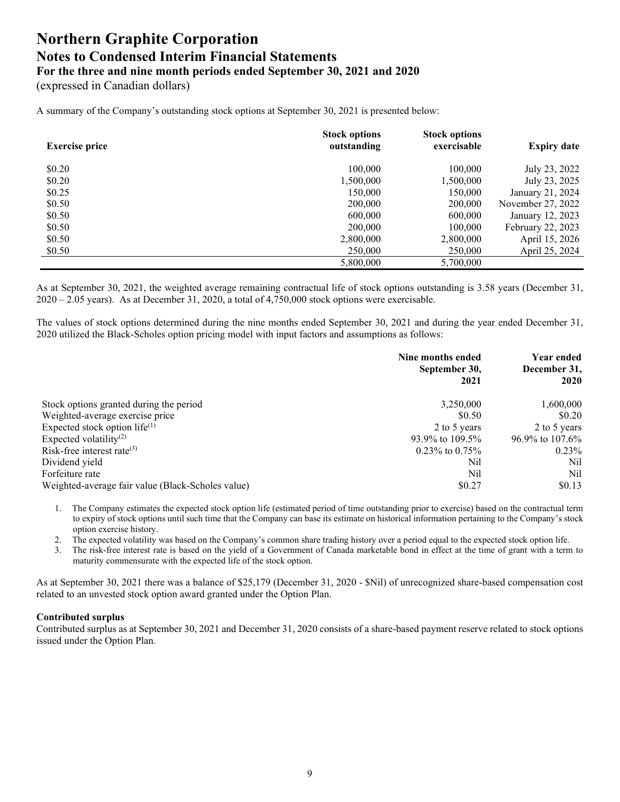(expressed in Canadian dollars)

A summary of the Company's outstanding stock options at September 30, 2021 is presented below:

| <b>Exercise price</b> | <b>Stock options</b><br>outstanding | <b>Stock options</b><br>exercisable | <b>Expiry date</b> |
|-----------------------|-------------------------------------|-------------------------------------|--------------------|
| \$0.20                | 100,000                             | 100,000                             | July 23, 2022      |
| \$0.20                | 1,500,000                           | 1,500,000                           | July 23, 2025      |
| \$0.25                | 150,000                             | 150,000                             | January 21, 2024   |
| \$0.50                | 200,000                             | 200,000                             | November 27, 2022  |
| \$0.50                | 600,000                             | 600,000                             | January 12, 2023   |
| \$0.50                | 200,000                             | 100,000                             | February 22, 2023  |
| \$0.50                | 2,800,000                           | 2,800,000                           | April 15, 2026     |
| \$0.50                | 250,000                             | 250,000                             | April 25, 2024     |
|                       | 5,800,000                           | 5,700,000                           |                    |

As at September 30, 2021, the weighted average remaining contractual life of stock options outstanding is 3.58 years (December 31, 2020 – 2.05 years). As at December 31, 2020, a total of 4,750,000 stock options were exercisable.

The values of stock options determined during the nine months ended September 30, 2021 and during the year ended December 31, 2020 utilized the Black-Scholes option pricing model with input factors and assumptions as follows:

|                                                   | Nine months ended<br>September 30,<br>2021 | <b>Year ended</b><br>December 31,<br>2020 |
|---------------------------------------------------|--------------------------------------------|-------------------------------------------|
| Stock options granted during the period           | 3,250,000                                  | 1,600,000                                 |
| Weighted-average exercise price                   | \$0.50                                     | \$0.20                                    |
| Expected stock option life $(1)$                  | 2 to 5 years                               | 2 to 5 years                              |
| Expected volatility <sup>(2)</sup>                | 93.9% to 109.5%                            | 96.9% to 107.6%                           |
| Risk-free interest rate $(3)$                     | $0.23\%$ to $0.75\%$                       | 0.23%                                     |
| Dividend yield                                    | Nil                                        | Nil                                       |
| Forfeiture rate                                   | Nil                                        | Nil                                       |
| Weighted-average fair value (Black-Scholes value) | \$0.27                                     | \$0.13                                    |

- 1. The Company estimates the expected stock option life (estimated period of time outstanding prior to exercise) based on the contractual term to expiry of stock options until such time that the Company can base its estimate on historical information pertaining to the Company's stock option exercise history.
- 2. The expected volatility was based on the Company's common share trading history over a period equal to the expected stock option life.
- 3. The risk-free interest rate is based on the yield of a Government of Canada marketable bond in effect at the time of grant with a term to maturity commensurate with the expected life of the stock option.

As at September 30, 2021 there was a balance of \$25,179 (December 31, 2020 - \$Nil) of unrecognized share-based compensation cost related to an unvested stock option award granted under the Option Plan.

#### **Contributed surplus**

Contributed surplus as at September 30, 2021 and December 31, 2020 consists of a share-based payment reserve related to stock options issued under the Option Plan.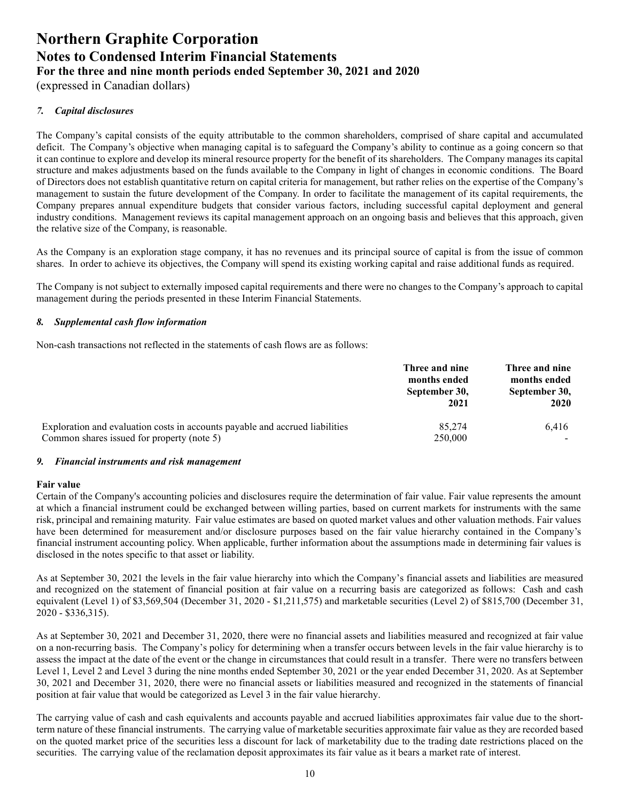(expressed in Canadian dollars)

#### *7. Capital disclosures*

The Company's capital consists of the equity attributable to the common shareholders, comprised of share capital and accumulated deficit. The Company's objective when managing capital is to safeguard the Company's ability to continue as a going concern so that it can continue to explore and develop its mineral resource property for the benefit of its shareholders. The Company manages its capital structure and makes adjustments based on the funds available to the Company in light of changes in economic conditions. The Board of Directors does not establish quantitative return on capital criteria for management, but rather relies on the expertise of the Company's management to sustain the future development of the Company. In order to facilitate the management of its capital requirements, the Company prepares annual expenditure budgets that consider various factors, including successful capital deployment and general industry conditions. Management reviews its capital management approach on an ongoing basis and believes that this approach, given the relative size of the Company, is reasonable.

As the Company is an exploration stage company, it has no revenues and its principal source of capital is from the issue of common shares. In order to achieve its objectives, the Company will spend its existing working capital and raise additional funds as required.

The Company is not subject to externally imposed capital requirements and there were no changes to the Company's approach to capital management during the periods presented in these Interim Financial Statements.

#### *8. Supplemental cash flow information*

Non-cash transactions not reflected in the statements of cash flows are as follows:

|                                                                              | Three and nine<br>months ended<br>September 30,<br>2021 | Three and nine<br>months ended<br>September 30,<br><b>2020</b> |
|------------------------------------------------------------------------------|---------------------------------------------------------|----------------------------------------------------------------|
| Exploration and evaluation costs in accounts payable and accrued liabilities | 85,274                                                  | 6.416                                                          |
| Common shares issued for property (note 5)                                   | 250,000                                                 |                                                                |

#### *9. Financial instruments and risk management*

#### **Fair value**

Certain of the Company's accounting policies and disclosures require the determination of fair value. Fair value represents the amount at which a financial instrument could be exchanged between willing parties, based on current markets for instruments with the same risk, principal and remaining maturity. Fair value estimates are based on quoted market values and other valuation methods. Fair values have been determined for measurement and/or disclosure purposes based on the fair value hierarchy contained in the Company's financial instrument accounting policy. When applicable, further information about the assumptions made in determining fair values is disclosed in the notes specific to that asset or liability.

As at September 30, 2021 the levels in the fair value hierarchy into which the Company's financial assets and liabilities are measured and recognized on the statement of financial position at fair value on a recurring basis are categorized as follows: Cash and cash equivalent (Level 1) of \$3,569,504 (December 31, 2020 - \$1,211,575) and marketable securities (Level 2) of \$815,700 (December 31, 2020 - \$336,315).

As at September 30, 2021 and December 31, 2020, there were no financial assets and liabilities measured and recognized at fair value on a non-recurring basis. The Company's policy for determining when a transfer occurs between levels in the fair value hierarchy is to assess the impact at the date of the event or the change in circumstances that could result in a transfer. There were no transfers between Level 1, Level 2 and Level 3 during the nine months ended September 30, 2021 or the year ended December 31, 2020. As at September 30, 2021 and December 31, 2020, there were no financial assets or liabilities measured and recognized in the statements of financial position at fair value that would be categorized as Level 3 in the fair value hierarchy.

The carrying value of cash and cash equivalents and accounts payable and accrued liabilities approximates fair value due to the shortterm nature of these financial instruments. The carrying value of marketable securities approximate fair value as they are recorded based on the quoted market price of the securities less a discount for lack of marketability due to the trading date restrictions placed on the securities. The carrying value of the reclamation deposit approximates its fair value as it bears a market rate of interest.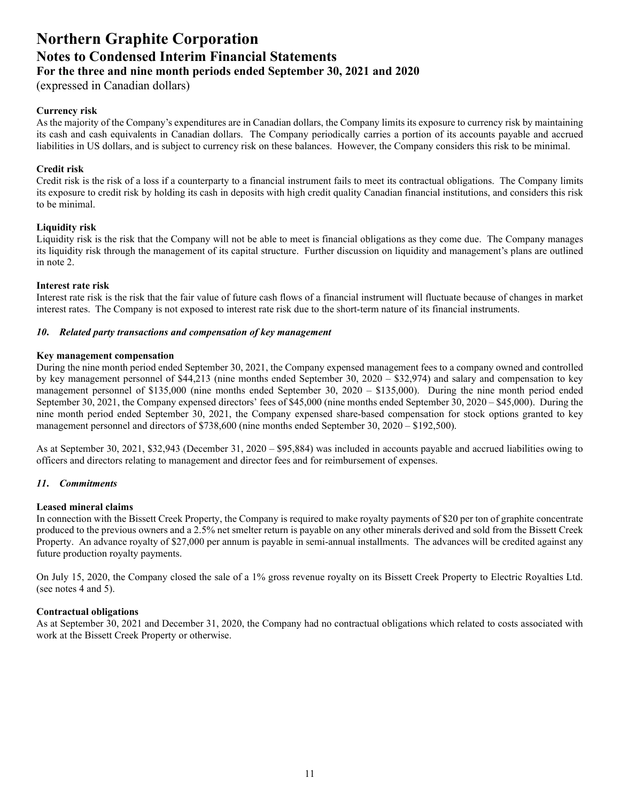# **Northern Graphite Corporation Notes to Condensed Interim Financial Statements**

**For the three and nine month periods ended September 30, 2021 and 2020**

(expressed in Canadian dollars)

#### **Currency risk**

As the majority of the Company's expenditures are in Canadian dollars, the Company limits its exposure to currency risk by maintaining its cash and cash equivalents in Canadian dollars. The Company periodically carries a portion of its accounts payable and accrued liabilities in US dollars, and is subject to currency risk on these balances. However, the Company considers this risk to be minimal.

#### **Credit risk**

Credit risk is the risk of a loss if a counterparty to a financial instrument fails to meet its contractual obligations. The Company limits its exposure to credit risk by holding its cash in deposits with high credit quality Canadian financial institutions, and considers this risk to be minimal.

#### **Liquidity risk**

Liquidity risk is the risk that the Company will not be able to meet is financial obligations as they come due. The Company manages its liquidity risk through the management of its capital structure. Further discussion on liquidity and management's plans are outlined in note 2.

#### **Interest rate risk**

Interest rate risk is the risk that the fair value of future cash flows of a financial instrument will fluctuate because of changes in market interest rates. The Company is not exposed to interest rate risk due to the short-term nature of its financial instruments.

#### *10***.** *Related party transactions and compensation of key management*

#### **Key management compensation**

During the nine month period ended September 30, 2021, the Company expensed management fees to a company owned and controlled by key management personnel of \$44,213 (nine months ended September 30, 2020 – \$32,974) and salary and compensation to key management personnel of \$135,000 (nine months ended September 30, 2020 – \$135,000). During the nine month period ended September 30, 2021, the Company expensed directors' fees of \$45,000 (nine months ended September 30, 2020 – \$45,000). During the nine month period ended September 30, 2021, the Company expensed share-based compensation for stock options granted to key management personnel and directors of \$738,600 (nine months ended September 30, 2020 – \$192,500).

As at September 30, 2021, \$32,943 (December 31, 2020 – \$95,884) was included in accounts payable and accrued liabilities owing to officers and directors relating to management and director fees and for reimbursement of expenses.

#### *11***.** *Commitments*

#### **Leased mineral claims**

In connection with the Bissett Creek Property, the Company is required to make royalty payments of \$20 per ton of graphite concentrate produced to the previous owners and a 2.5% net smelter return is payable on any other minerals derived and sold from the Bissett Creek Property. An advance royalty of \$27,000 per annum is payable in semi-annual installments. The advances will be credited against any future production royalty payments.

On July 15, 2020, the Company closed the sale of a 1% gross revenue royalty on its Bissett Creek Property to Electric Royalties Ltd. (see notes 4 and 5).

#### **Contractual obligations**

As at September 30, 2021 and December 31, 2020, the Company had no contractual obligations which related to costs associated with work at the Bissett Creek Property or otherwise.